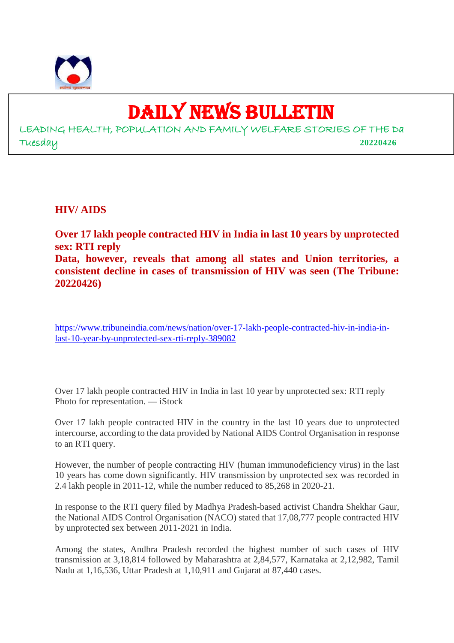

## DAILY NEWS BULLETIN

LEADING HEALTH, POPULATION AND FAMILY WELFARE STORIES OF THE Da Tuesday **20220426**

**HIV/ AIDS**

**Over 17 lakh people contracted HIV in India in last 10 years by unprotected sex: RTI reply Data, however, reveals that among all states and Union territories, a consistent decline in cases of transmission of HIV was seen (The Tribune: 20220426)**

https://www.tribuneindia.com/news/nation/over-17-lakh-people-contracted-hiv-in-india-inlast-10-year-by-unprotected-sex-rti-reply-389082

Over 17 lakh people contracted HIV in India in last 10 year by unprotected sex: RTI reply Photo for representation. — iStock

Over 17 lakh people contracted HIV in the country in the last 10 years due to unprotected intercourse, according to the data provided by National AIDS Control Organisation in response to an RTI query.

However, the number of people contracting HIV (human immunodeficiency virus) in the last 10 years has come down significantly. HIV transmission by unprotected sex was recorded in 2.4 lakh people in 2011-12, while the number reduced to 85,268 in 2020-21.

In response to the RTI query filed by Madhya Pradesh-based activist Chandra Shekhar Gaur, the National AIDS Control Organisation (NACO) stated that 17,08,777 people contracted HIV by unprotected sex between 2011-2021 in India.

Among the states, Andhra Pradesh recorded the highest number of such cases of HIV transmission at 3,18,814 followed by Maharashtra at 2,84,577, Karnataka at 2,12,982, Tamil Nadu at 1,16,536, Uttar Pradesh at 1,10,911 and Gujarat at 87,440 cases.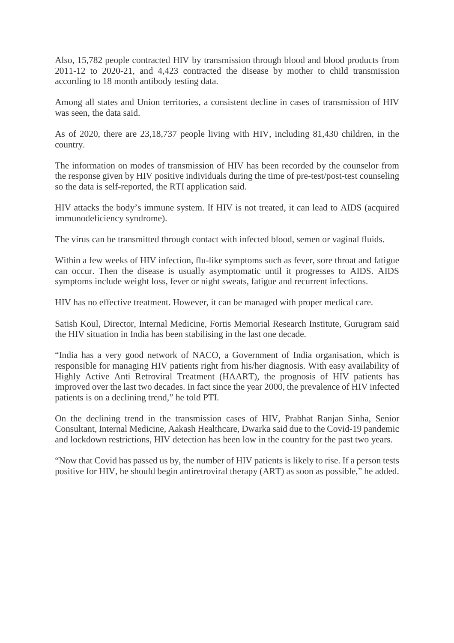Also, 15,782 people contracted HIV by transmission through blood and blood products from 2011-12 to 2020-21, and 4,423 contracted the disease by mother to child transmission according to 18 month antibody testing data.

Among all states and Union territories, a consistent decline in cases of transmission of HIV was seen, the data said.

As of 2020, there are 23,18,737 people living with HIV, including 81,430 children, in the country.

The information on modes of transmission of HIV has been recorded by the counselor from the response given by HIV positive individuals during the time of pre-test/post-test counseling so the data is self-reported, the RTI application said.

HIV attacks the body's immune system. If HIV is not treated, it can lead to AIDS (acquired immunodeficiency syndrome).

The virus can be transmitted through contact with infected blood, semen or vaginal fluids.

Within a few weeks of HIV infection, flu-like symptoms such as fever, sore throat and fatigue can occur. Then the disease is usually asymptomatic until it progresses to AIDS. AIDS symptoms include weight loss, fever or night sweats, fatigue and recurrent infections.

HIV has no effective treatment. However, it can be managed with proper medical care.

Satish Koul, Director, Internal Medicine, Fortis Memorial Research Institute, Gurugram said the HIV situation in India has been stabilising in the last one decade.

"India has a very good network of NACO, a Government of India organisation, which is responsible for managing HIV patients right from his/her diagnosis. With easy availability of Highly Active Anti Retroviral Treatment (HAART), the prognosis of HIV patients has improved over the last two decades. In fact since the year 2000, the prevalence of HIV infected patients is on a declining trend," he told PTI.

On the declining trend in the transmission cases of HIV, Prabhat Ranjan Sinha, Senior Consultant, Internal Medicine, Aakash Healthcare, Dwarka said due to the Covid-19 pandemic and lockdown restrictions, HIV detection has been low in the country for the past two years.

"Now that Covid has passed us by, the number of HIV patients is likely to rise. If a person tests positive for HIV, he should begin antiretroviral therapy (ART) as soon as possible," he added.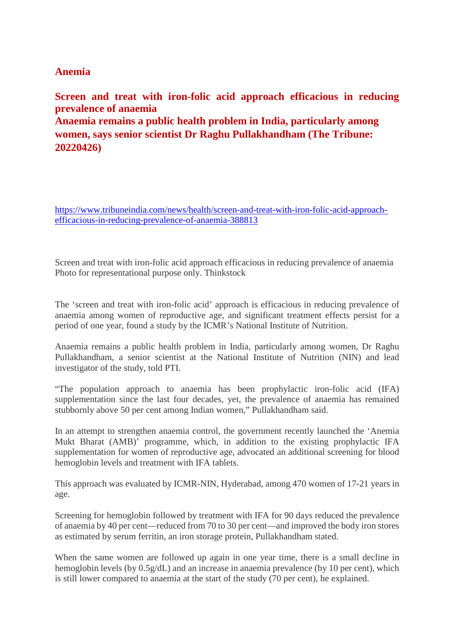#### **Anemia**

**Screen and treat with iron-folic acid approach efficacious in reducing prevalence of anaemia Anaemia remains a public health problem in India, particularly among women, says senior scientist Dr Raghu Pullakhandham (The Tribune: 20220426)**

https://www.tribuneindia.com/news/health/screen-and-treat-with-iron-folic-acid-approachefficacious-in-reducing-prevalence-of-anaemia-388813

Screen and treat with iron-folic acid approach efficacious in reducing prevalence of anaemia Photo for representational purpose only. Thinkstock

The 'screen and treat with iron-folic acid' approach is efficacious in reducing prevalence of anaemia among women of reproductive age, and significant treatment effects persist for a period of one year, found a study by the ICMR's National Institute of Nutrition.

Anaemia remains a public health problem in India, particularly among women, Dr Raghu Pullakhandham, a senior scientist at the National Institute of Nutrition (NIN) and lead investigator of the study, told PTI.

"The population approach to anaemia has been prophylactic iron-folic acid (IFA) supplementation since the last four decades, yet, the prevalence of anaemia has remained stubbornly above 50 per cent among Indian women," Pullakhandham said.

In an attempt to strengthen anaemia control, the government recently launched the 'Anemia Mukt Bharat (AMB)' programme, which, in addition to the existing prophylactic IFA supplementation for women of reproductive age, advocated an additional screening for blood hemoglobin levels and treatment with IFA tablets.

This approach was evaluated by ICMR-NIN, Hyderabad, among 470 women of 17-21 years in age.

Screening for hemoglobin followed by treatment with IFA for 90 days reduced the prevalence of anaemia by 40 per cent—reduced from 70 to 30 per cent—and improved the body iron stores as estimated by serum ferritin, an iron storage protein, Pullakhandham stated.

When the same women are followed up again in one year time, there is a small decline in hemoglobin levels (by  $0.5g/dL$ ) and an increase in anaemia prevalence (by 10 per cent), which is still lower compared to anaemia at the start of the study (70 per cent), he explained.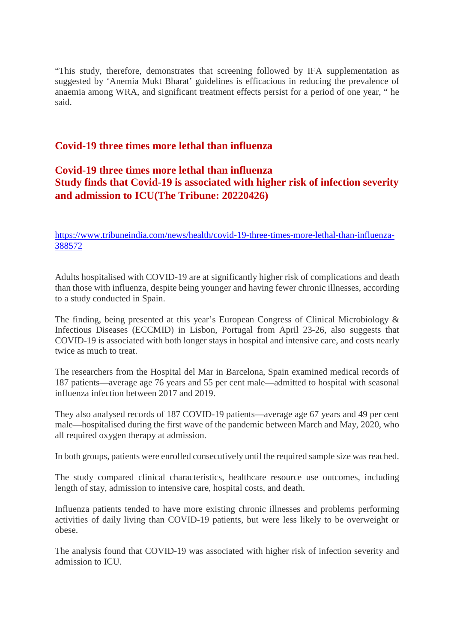"This study, therefore, demonstrates that screening followed by IFA supplementation as suggested by 'Anemia Mukt Bharat' guidelines is efficacious in reducing the prevalence of anaemia among WRA, and significant treatment effects persist for a period of one year, " he said.

#### **Covid-19 three times more lethal than influenza**

#### **Covid-19 three times more lethal than influenza Study finds that Covid-19 is associated with higher risk of infection severity and admission to ICU(The Tribune: 20220426)**

https://www.tribuneindia.com/news/health/covid-19-three-times-more-lethal-than-influenza-388572

Adults hospitalised with COVID-19 are at significantly higher risk of complications and death than those with influenza, despite being younger and having fewer chronic illnesses, according to a study conducted in Spain.

The finding, being presented at this year's European Congress of Clinical Microbiology & Infectious Diseases (ECCMID) in Lisbon, Portugal from April 23-26, also suggests that COVID-19 is associated with both longer stays in hospital and intensive care, and costs nearly twice as much to treat.

The researchers from the Hospital del Mar in Barcelona, Spain examined medical records of 187 patients—average age 76 years and 55 per cent male—admitted to hospital with seasonal influenza infection between 2017 and 2019.

They also analysed records of 187 COVID-19 patients—average age 67 years and 49 per cent male—hospitalised during the first wave of the pandemic between March and May, 2020, who all required oxygen therapy at admission.

In both groups, patients were enrolled consecutively until the required sample size was reached.

The study compared clinical characteristics, healthcare resource use outcomes, including length of stay, admission to intensive care, hospital costs, and death.

Influenza patients tended to have more existing chronic illnesses and problems performing activities of daily living than COVID-19 patients, but were less likely to be overweight or obese.

The analysis found that COVID-19 was associated with higher risk of infection severity and admission to ICU.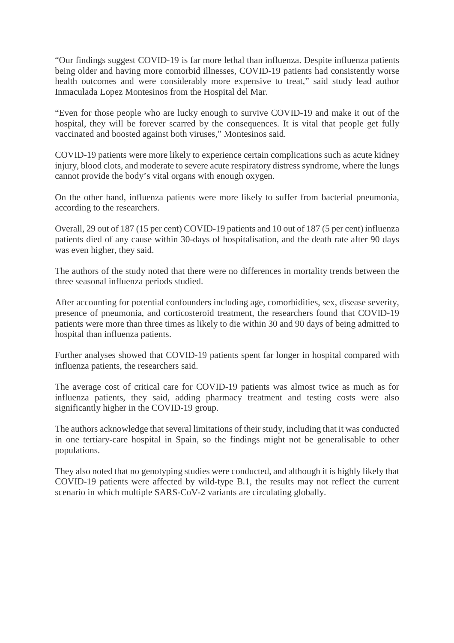"Our findings suggest COVID-19 is far more lethal than influenza. Despite influenza patients being older and having more comorbid illnesses, COVID-19 patients had consistently worse health outcomes and were considerably more expensive to treat," said study lead author Inmaculada Lopez Montesinos from the Hospital del Mar.

"Even for those people who are lucky enough to survive COVID-19 and make it out of the hospital, they will be forever scarred by the consequences. It is vital that people get fully vaccinated and boosted against both viruses," Montesinos said.

COVID-19 patients were more likely to experience certain complications such as acute kidney injury, blood clots, and moderate to severe acute respiratory distress syndrome, where the lungs cannot provide the body's vital organs with enough oxygen.

On the other hand, influenza patients were more likely to suffer from bacterial pneumonia, according to the researchers.

Overall, 29 out of 187 (15 per cent) COVID-19 patients and 10 out of 187 (5 per cent) influenza patients died of any cause within 30-days of hospitalisation, and the death rate after 90 days was even higher, they said.

The authors of the study noted that there were no differences in mortality trends between the three seasonal influenza periods studied.

After accounting for potential confounders including age, comorbidities, sex, disease severity, presence of pneumonia, and corticosteroid treatment, the researchers found that COVID-19 patients were more than three times as likely to die within 30 and 90 days of being admitted to hospital than influenza patients.

Further analyses showed that COVID-19 patients spent far longer in hospital compared with influenza patients, the researchers said.

The average cost of critical care for COVID-19 patients was almost twice as much as for influenza patients, they said, adding pharmacy treatment and testing costs were also significantly higher in the COVID-19 group.

The authors acknowledge that several limitations of their study, including that it was conducted in one tertiary-care hospital in Spain, so the findings might not be generalisable to other populations.

They also noted that no genotyping studies were conducted, and although it is highly likely that COVID-19 patients were affected by wild-type B.1, the results may not reflect the current scenario in which multiple SARS-CoV-2 variants are circulating globally.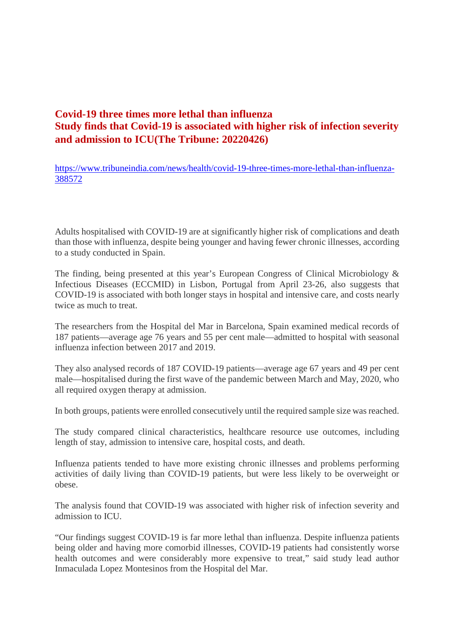#### **Covid-19 three times more lethal than influenza Study finds that Covid-19 is associated with higher risk of infection severity and admission to ICU(The Tribune: 20220426)**

https://www.tribuneindia.com/news/health/covid-19-three-times-more-lethal-than-influenza-388572

Adults hospitalised with COVID-19 are at significantly higher risk of complications and death than those with influenza, despite being younger and having fewer chronic illnesses, according to a study conducted in Spain.

The finding, being presented at this year's European Congress of Clinical Microbiology & Infectious Diseases (ECCMID) in Lisbon, Portugal from April 23-26, also suggests that COVID-19 is associated with both longer stays in hospital and intensive care, and costs nearly twice as much to treat.

The researchers from the Hospital del Mar in Barcelona, Spain examined medical records of 187 patients—average age 76 years and 55 per cent male—admitted to hospital with seasonal influenza infection between 2017 and 2019.

They also analysed records of 187 COVID-19 patients—average age 67 years and 49 per cent male—hospitalised during the first wave of the pandemic between March and May, 2020, who all required oxygen therapy at admission.

In both groups, patients were enrolled consecutively until the required sample size was reached.

The study compared clinical characteristics, healthcare resource use outcomes, including length of stay, admission to intensive care, hospital costs, and death.

Influenza patients tended to have more existing chronic illnesses and problems performing activities of daily living than COVID-19 patients, but were less likely to be overweight or obese.

The analysis found that COVID-19 was associated with higher risk of infection severity and admission to ICU.

"Our findings suggest COVID-19 is far more lethal than influenza. Despite influenza patients being older and having more comorbid illnesses, COVID-19 patients had consistently worse health outcomes and were considerably more expensive to treat," said study lead author Inmaculada Lopez Montesinos from the Hospital del Mar.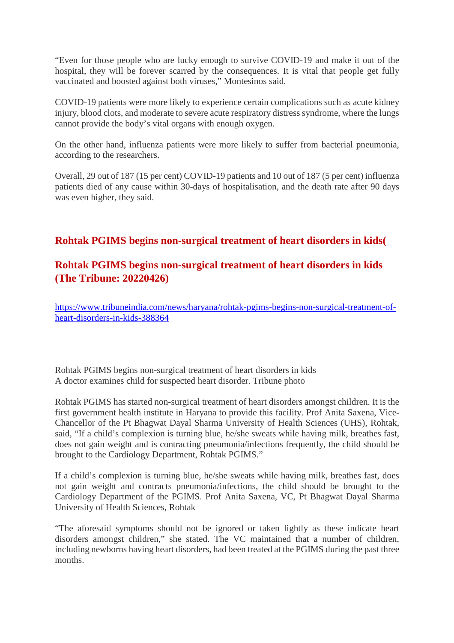"Even for those people who are lucky enough to survive COVID-19 and make it out of the hospital, they will be forever scarred by the consequences. It is vital that people get fully vaccinated and boosted against both viruses," Montesinos said.

COVID-19 patients were more likely to experience certain complications such as acute kidney injury, blood clots, and moderate to severe acute respiratory distress syndrome, where the lungs cannot provide the body's vital organs with enough oxygen.

On the other hand, influenza patients were more likely to suffer from bacterial pneumonia, according to the researchers.

Overall, 29 out of 187 (15 per cent) COVID-19 patients and 10 out of 187 (5 per cent) influenza patients died of any cause within 30-days of hospitalisation, and the death rate after 90 days was even higher, they said.

#### **Rohtak PGIMS begins non-surgical treatment of heart disorders in kids(**

#### **Rohtak PGIMS begins non-surgical treatment of heart disorders in kids (The Tribune: 20220426)**

https://www.tribuneindia.com/news/haryana/rohtak-pgims-begins-non-surgical-treatment-ofheart-disorders-in-kids-388364

Rohtak PGIMS begins non-surgical treatment of heart disorders in kids A doctor examines child for suspected heart disorder. Tribune photo

Rohtak PGIMS has started non-surgical treatment of heart disorders amongst children. It is the first government health institute in Haryana to provide this facility. Prof Anita Saxena, Vice-Chancellor of the Pt Bhagwat Dayal Sharma University of Health Sciences (UHS), Rohtak, said, "If a child's complexion is turning blue, he/she sweats while having milk, breathes fast, does not gain weight and is contracting pneumonia/infections frequently, the child should be brought to the Cardiology Department, Rohtak PGIMS."

If a child's complexion is turning blue, he/she sweats while having milk, breathes fast, does not gain weight and contracts pneumonia/infections, the child should be brought to the Cardiology Department of the PGIMS. Prof Anita Saxena, VC, Pt Bhagwat Dayal Sharma University of Health Sciences, Rohtak

"The aforesaid symptoms should not be ignored or taken lightly as these indicate heart disorders amongst children," she stated. The VC maintained that a number of children, including newborns having heart disorders, had been treated at the PGIMS during the past three months.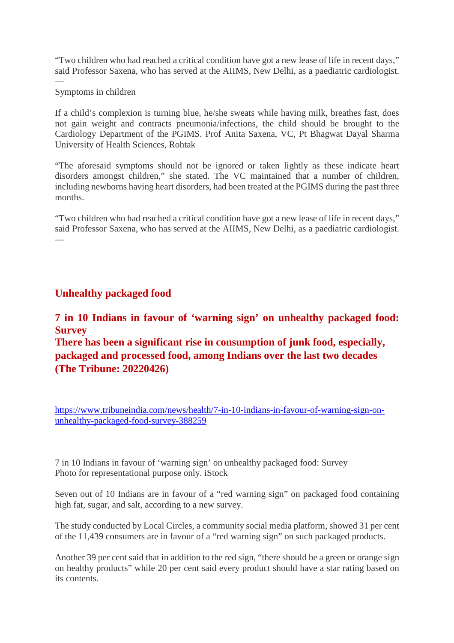"Two children who had reached a critical condition have got a new lease of life in recent days," said Professor Saxena, who has served at the AIIMS, New Delhi, as a paediatric cardiologist.

#### Symptoms in children

—

If a child's complexion is turning blue, he/she sweats while having milk, breathes fast, does not gain weight and contracts pneumonia/infections, the child should be brought to the Cardiology Department of the PGIMS. Prof Anita Saxena, VC, Pt Bhagwat Dayal Sharma University of Health Sciences, Rohtak

"The aforesaid symptoms should not be ignored or taken lightly as these indicate heart disorders amongst children," she stated. The VC maintained that a number of children, including newborns having heart disorders, had been treated at the PGIMS during the past three months.

"Two children who had reached a critical condition have got a new lease of life in recent days," said Professor Saxena, who has served at the AIIMS, New Delhi, as a paediatric cardiologist. —

#### **Unhealthy packaged food**

#### **7 in 10 Indians in favour of 'warning sign' on unhealthy packaged food: Survey**

**There has been a significant rise in consumption of junk food, especially, packaged and processed food, among Indians over the last two decades (The Tribune: 20220426)**

https://www.tribuneindia.com/news/health/7-in-10-indians-in-favour-of-warning-sign-onunhealthy-packaged-food-survey-388259

7 in 10 Indians in favour of 'warning sign' on unhealthy packaged food: Survey Photo for representational purpose only. iStock

Seven out of 10 Indians are in favour of a "red warning sign" on packaged food containing high fat, sugar, and salt, according to a new survey.

The study conducted by Local Circles, a community social media platform, showed 31 per cent of the 11,439 consumers are in favour of a "red warning sign" on such packaged products.

Another 39 per cent said that in addition to the red sign, "there should be a green or orange sign on healthy products" while 20 per cent said every product should have a star rating based on its contents.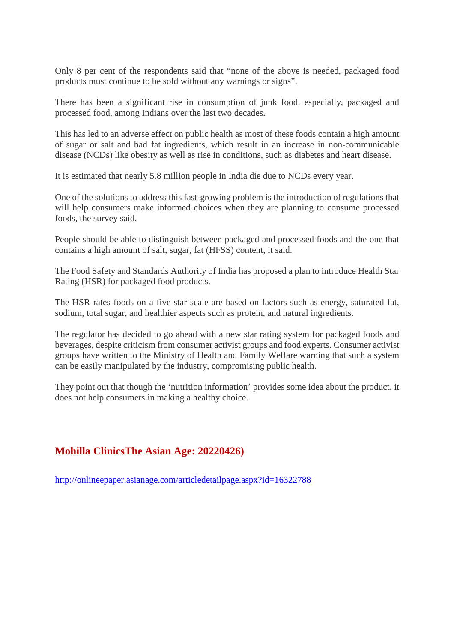Only 8 per cent of the respondents said that "none of the above is needed, packaged food products must continue to be sold without any warnings or signs".

There has been a significant rise in consumption of junk food, especially, packaged and processed food, among Indians over the last two decades.

This has led to an adverse effect on public health as most of these foods contain a high amount of sugar or salt and bad fat ingredients, which result in an increase in non-communicable disease (NCDs) like obesity as well as rise in conditions, such as diabetes and heart disease.

It is estimated that nearly 5.8 million people in India die due to NCDs every year.

One of the solutions to address this fast-growing problem is the introduction of regulations that will help consumers make informed choices when they are planning to consume processed foods, the survey said.

People should be able to distinguish between packaged and processed foods and the one that contains a high amount of salt, sugar, fat (HFSS) content, it said.

The Food Safety and Standards Authority of India has proposed a plan to introduce Health Star Rating (HSR) for packaged food products.

The HSR rates foods on a five-star scale are based on factors such as energy, saturated fat, sodium, total sugar, and healthier aspects such as protein, and natural ingredients.

The regulator has decided to go ahead with a new star rating system for packaged foods and beverages, despite criticism from consumer activist groups and food experts. Consumer activist groups have written to the Ministry of Health and Family Welfare warning that such a system can be easily manipulated by the industry, compromising public health.

They point out that though the 'nutrition information' provides some idea about the product, it does not help consumers in making a healthy choice.

#### **Mohilla ClinicsThe Asian Age: 20220426)**

http://onlineepaper.asianage.com/articledetailpage.aspx?id=16322788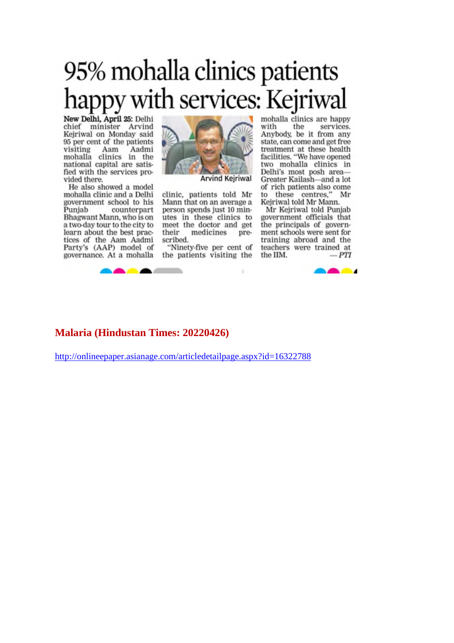## 95% mohalla clinics patients happy with services: Kejriwal

New Delhi, April 25: Delhi chief minister Arvind Kejriwal on Monday said 95 per cent of the patients visiting Aam Aadmi mohalla clinics in the national capital are satisfied with the services provided there.

He also showed a model mohalla clinic and a Delhi government school to his Punjab counterpart Bhagwant Mann, who is on a two-day tour to the city to learn about the best practices of the Aam Aadmi<br>Party's (AAP) model of governance. At a mohalla



clinic, patients told Mr Mann that on an average a person spends just 10 minutes in these clinics to meet the doctor and get their medicines prescribed.

"Ninety-five per cent of the patients visiting the

mohalla clinics are happy with the services. Anybody, be it from any state, can come and get free treatment at these health facilities. "We have opened two mohalla clinics in Delhi's most posh area-Greater Kailash-and a lot of rich patients also come to these centres," Mr Kejriwal told Mr Mann.

Mr Kejriwal told Punjab government officials that the principals of government schools were sent for training abroad and the teachers were trained at  $-PTI$ the IIM.



#### **Malaria (Hindustan Times: 20220426)**

http://onlineepaper.asianage.com/articledetailpage.aspx?id=16322788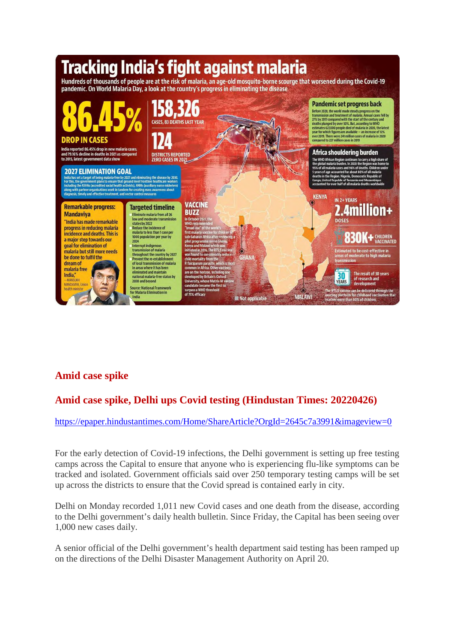

#### **Amid case spike**

#### **Amid case spike, Delhi ups Covid testing (Hindustan Times: 20220426)**

https://epaper.hindustantimes.com/Home/ShareArticle?OrgId=2645c7a3991&imageview=0

For the early detection of Covid-19 infections, the Delhi government is setting up free testing camps across the Capital to ensure that anyone who is experiencing flu-like symptoms can be tracked and isolated. Government officials said over 250 temporary testing camps will be set up across the districts to ensure that the Covid spread is contained early in city.

Delhi on Monday recorded 1,011 new Covid cases and one death from the disease, according to the Delhi government's daily health bulletin. Since Friday, the Capital has been seeing over 1,000 new cases daily.

A senior official of the Delhi government's health department said testing has been ramped up on the directions of the Delhi Disaster Management Authority on April 20.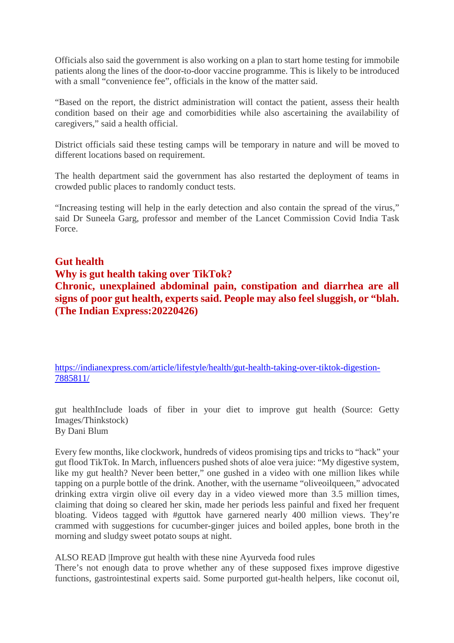Officials also said the government is also working on a plan to start home testing for immobile patients along the lines of the door-to-door vaccine programme. This is likely to be introduced with a small "convenience fee", officials in the know of the matter said.

"Based on the report, the district administration will contact the patient, assess their health condition based on their age and comorbidities while also ascertaining the availability of caregivers," said a health official.

District officials said these testing camps will be temporary in nature and will be moved to different locations based on requirement.

The health department said the government has also restarted the deployment of teams in crowded public places to randomly conduct tests.

"Increasing testing will help in the early detection and also contain the spread of the virus," said Dr Suneela Garg, professor and member of the Lancet Commission Covid India Task Force.

#### **Gut health**

#### **Why is gut health taking over TikTok?**

**Chronic, unexplained abdominal pain, constipation and diarrhea are all signs of poor gut health, experts said. People may also feel sluggish, or "blah. (The Indian Express:20220426)**

https://indianexpress.com/article/lifestyle/health/gut-health-taking-over-tiktok-digestion-7885811/

gut healthInclude loads of fiber in your diet to improve gut health (Source: Getty Images/Thinkstock) By Dani Blum

Every few months, like clockwork, hundreds of videos promising tips and tricks to "hack" your gut flood TikTok. In March, influencers pushed shots of aloe vera juice: "My digestive system, like my gut health? Never been better," one gushed in a video with one million likes while tapping on a purple bottle of the drink. Another, with the username "oliveoilqueen," advocated drinking extra virgin olive oil every day in a video viewed more than 3.5 million times, claiming that doing so cleared her skin, made her periods less painful and fixed her frequent bloating. Videos tagged with #guttok have garnered nearly 400 million views. They're crammed with suggestions for cucumber-ginger juices and boiled apples, bone broth in the morning and sludgy sweet potato soups at night.

ALSO READ |Improve gut health with these nine Ayurveda food rules

There's not enough data to prove whether any of these supposed fixes improve digestive functions, gastrointestinal experts said. Some purported gut-health helpers, like coconut oil,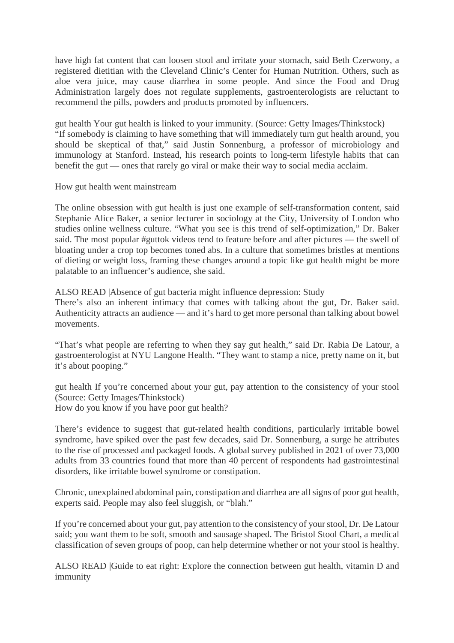have high fat content that can loosen stool and irritate your stomach, said Beth Czerwony, a registered dietitian with the Cleveland Clinic's Center for Human Nutrition. Others, such as aloe vera juice, may cause diarrhea in some people. And since the Food and Drug Administration largely does not regulate supplements, gastroenterologists are reluctant to recommend the pills, powders and products promoted by influencers.

gut health Your gut health is linked to your immunity. (Source: Getty Images/Thinkstock) "If somebody is claiming to have something that will immediately turn gut health around, you should be skeptical of that," said Justin Sonnenburg, a professor of microbiology and immunology at Stanford. Instead, his research points to long-term lifestyle habits that can benefit the gut — ones that rarely go viral or make their way to social media acclaim.

How gut health went mainstream

The online obsession with gut health is just one example of self-transformation content, said Stephanie Alice Baker, a senior lecturer in sociology at the City, University of London who studies online wellness culture. "What you see is this trend of self-optimization," Dr. Baker said. The most popular #guttok videos tend to feature before and after pictures — the swell of bloating under a crop top becomes toned abs. In a culture that sometimes bristles at mentions of dieting or weight loss, framing these changes around a topic like gut health might be more palatable to an influencer's audience, she said.

ALSO READ |Absence of gut bacteria might influence depression: Study

There's also an inherent intimacy that comes with talking about the gut, Dr. Baker said. Authenticity attracts an audience — and it's hard to get more personal than talking about bowel movements.

"That's what people are referring to when they say gut health," said Dr. Rabia De Latour, a gastroenterologist at NYU Langone Health. "They want to stamp a nice, pretty name on it, but it's about pooping."

gut health If you're concerned about your gut, pay attention to the consistency of your stool (Source: Getty Images/Thinkstock)

How do you know if you have poor gut health?

There's evidence to suggest that gut-related health conditions, particularly irritable bowel syndrome, have spiked over the past few decades, said Dr. Sonnenburg, a surge he attributes to the rise of processed and packaged foods. A global survey published in 2021 of over 73,000 adults from 33 countries found that more than 40 percent of respondents had gastrointestinal disorders, like irritable bowel syndrome or constipation.

Chronic, unexplained abdominal pain, constipation and diarrhea are all signs of poor gut health, experts said. People may also feel sluggish, or "blah."

If you're concerned about your gut, pay attention to the consistency of your stool, Dr. De Latour said; you want them to be soft, smooth and sausage shaped. The Bristol Stool Chart, a medical classification of seven groups of poop, can help determine whether or not your stool is healthy.

ALSO READ |Guide to eat right: Explore the connection between gut health, vitamin D and immunity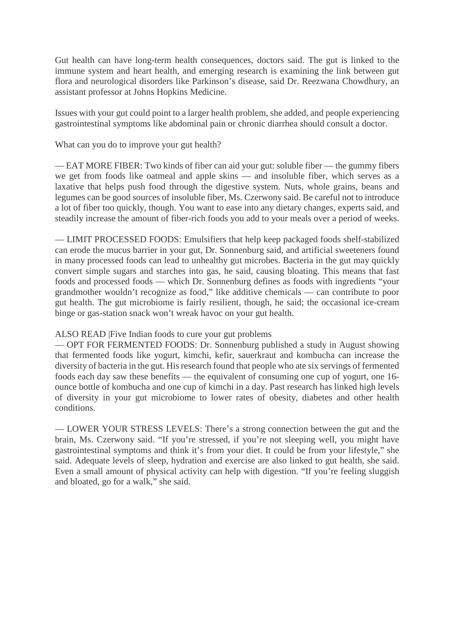Gut health can have long-term health consequences, doctors said. The gut is linked to the immune system and heart health, and emerging research is examining the link between gut flora and neurological disorders like Parkinson's disease, said Dr. Reezwana Chowdhury, an assistant professor at Johns Hopkins Medicine.

Issues with your gut could point to a larger health problem, she added, and people experiencing gastrointestinal symptoms like abdominal pain or chronic diarrhea should consult a doctor.

#### What can you do to improve your gut health?

— EAT MORE FIBER: Two kinds of fiber can aid your gut: soluble fiber — the gummy fibers we get from foods like oatmeal and apple skins — and insoluble fiber, which serves as a laxative that helps push food through the digestive system. Nuts, whole grains, beans and legumes can be good sources of insoluble fiber, Ms. Czerwony said. Be careful not to introduce a lot of fiber too quickly, though. You want to ease into any dietary changes, experts said, and steadily increase the amount of fiber-rich foods you add to your meals over a period of weeks.

— LIMIT PROCESSED FOODS: Emulsifiers that help keep packaged foods shelf-stabilized can erode the mucus barrier in your gut, Dr. Sonnenburg said, and artificial sweeteners found in many processed foods can lead to unhealthy gut microbes. Bacteria in the gut may quickly convert simple sugars and starches into gas, he said, causing bloating. This means that fast foods and processed foods — which Dr. Sonnenburg defines as foods with ingredients "your grandmother wouldn't recognize as food," like additive chemicals — can contribute to poor gut health. The gut microbiome is fairly resilient, though, he said; the occasional ice-cream binge or gas-station snack won't wreak havoc on your gut health.

#### ALSO READ |Five Indian foods to cure your gut problems

— OPT FOR FERMENTED FOODS: Dr. Sonnenburg published a study in August showing that fermented foods like yogurt, kimchi, kefir, sauerkraut and kombucha can increase the diversity of bacteria in the gut. His research found that people who ate six servings of fermented foods each day saw these benefits — the equivalent of consuming one cup of yogurt, one 16 ounce bottle of kombucha and one cup of kimchi in a day. Past research has linked high levels of diversity in your gut microbiome to lower rates of obesity, diabetes and other health conditions.

— LOWER YOUR STRESS LEVELS: There's a strong connection between the gut and the brain, Ms. Czerwony said. "If you're stressed, if you're not sleeping well, you might have gastrointestinal symptoms and think it's from your diet. It could be from your lifestyle," she said. Adequate levels of sleep, hydration and exercise are also linked to gut health, she said. Even a small amount of physical activity can help with digestion. "If you're feeling sluggish and bloated, go for a walk," she said.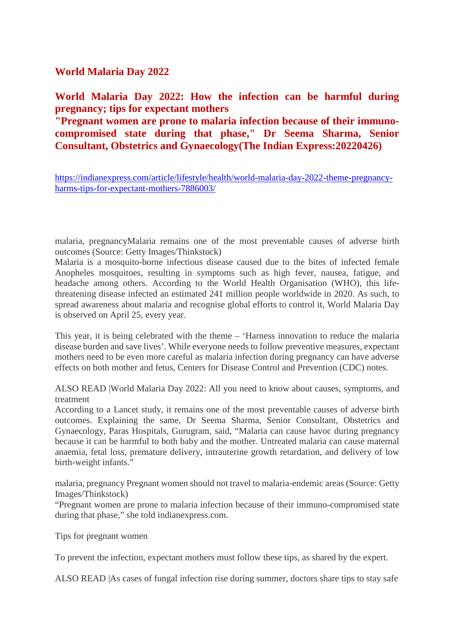**World Malaria Day 2022**

**World Malaria Day 2022: How the infection can be harmful during pregnancy; tips for expectant mothers**

**"Pregnant women are prone to malaria infection because of their immunocompromised state during that phase," Dr Seema Sharma, Senior Consultant, Obstetrics and Gynaecology(The Indian Express:20220426)**

https://indianexpress.com/article/lifestyle/health/world-malaria-day-2022-theme-pregnancyharms-tips-for-expectant-mothers-7886003/

malaria, pregnancyMalaria remains one of the most preventable causes of adverse birth outcomes (Source: Getty Images/Thinkstock)

Malaria is a mosquito-borne infectious disease caused due to the bites of infected female Anopheles mosquitoes, resulting in symptoms such as high fever, nausea, fatigue, and headache among others. According to the World Health Organisation (WHO), this lifethreatening disease infected an estimated 241 million people worldwide in 2020. As such, to spread awareness about malaria and recognise global efforts to control it, World Malaria Day is observed on April 25, every year.

This year, it is being celebrated with the theme – 'Harness innovation to reduce the malaria disease burden and save lives'. While everyone needs to follow preventive measures, expectant mothers need to be even more careful as malaria infection during pregnancy can have adverse effects on both mother and fetus, Centers for Disease Control and Prevention (CDC) notes.

ALSO READ |World Malaria Day 2022: All you need to know about causes, symptoms, and treatment

According to a Lancet study, it remains one of the most preventable causes of adverse birth outcomes. Explaining the same, Dr Seema Sharma, Senior Consultant, Obstetrics and Gynaecology, Paras Hospitals, Gurugram, said, "Malaria can cause havoc during pregnancy because it can be harmful to both baby and the mother. Untreated malaria can cause maternal anaemia, fetal loss, premature delivery, intrauterine growth retardation, and delivery of low birth-weight infants."

malaria, pregnancy Pregnant women should not travel to malaria-endemic areas (Source: Getty Images/Thinkstock)

"Pregnant women are prone to malaria infection because of their immuno-compromised state during that phase," she told indianexpress.com.

Tips for pregnant women

To prevent the infection, expectant mothers must follow these tips, as shared by the expert.

ALSO READ |As cases of fungal infection rise during summer, doctors share tips to stay safe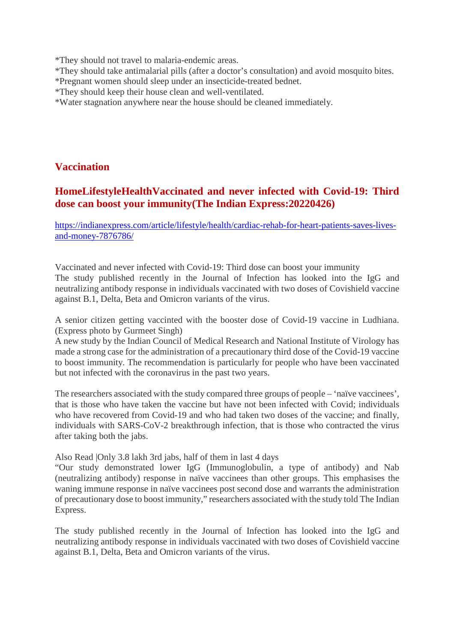\*They should not travel to malaria-endemic areas.

- \*They should take antimalarial pills (after a doctor's consultation) and avoid mosquito bites.
- \*Pregnant women should sleep under an insecticide-treated bednet.
- \*They should keep their house clean and well-ventilated.
- \*Water stagnation anywhere near the house should be cleaned immediately.

#### **Vaccination**

#### **HomeLifestyleHealthVaccinated and never infected with Covid-19: Third dose can boost your immunity(The Indian Express:20220426)**

https://indianexpress.com/article/lifestyle/health/cardiac-rehab-for-heart-patients-saves-livesand-money-7876786/

Vaccinated and never infected with Covid-19: Third dose can boost your immunity The study published recently in the Journal of Infection has looked into the IgG and neutralizing antibody response in individuals vaccinated with two doses of Covishield vaccine against B.1, Delta, Beta and Omicron variants of the virus.

A senior citizen getting vaccinted with the booster dose of Covid-19 vaccine in Ludhiana. (Express photo by Gurmeet Singh)

A new study by the Indian Council of Medical Research and National Institute of Virology has made a strong case for the administration of a precautionary third dose of the Covid-19 vaccine to boost immunity. The recommendation is particularly for people who have been vaccinated but not infected with the coronavirus in the past two years.

The researchers associated with the study compared three groups of people – 'naïve vaccinees', that is those who have taken the vaccine but have not been infected with Covid; individuals who have recovered from Covid-19 and who had taken two doses of the vaccine; and finally, individuals with SARS-CoV-2 breakthrough infection, that is those who contracted the virus after taking both the jabs.

Also Read |Only 3.8 lakh 3rd jabs, half of them in last 4 days

"Our study demonstrated lower IgG (Immunoglobulin, a type of antibody) and Nab (neutralizing antibody) response in naïve vaccinees than other groups. This emphasises the waning immune response in naïve vaccinees post second dose and warrants the administration of precautionary dose to boost immunity," researchers associated with the study told The Indian Express.

The study published recently in the Journal of Infection has looked into the IgG and neutralizing antibody response in individuals vaccinated with two doses of Covishield vaccine against B.1, Delta, Beta and Omicron variants of the virus.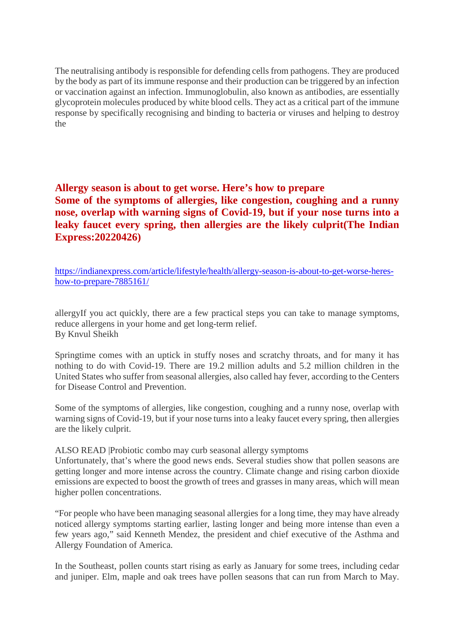The neutralising antibody is responsible for defending cells from pathogens. They are produced by the body as part of its immune response and their production can be triggered by an infection or vaccination against an infection. Immunoglobulin, also known as antibodies, are essentially glycoprotein molecules produced by white blood cells. They act as a critical part of the immune response by specifically recognising and binding to bacteria or viruses and helping to destroy the

**Allergy season is about to get worse. Here's how to prepare Some of the symptoms of allergies, like congestion, coughing and a runny nose, overlap with warning signs of Covid-19, but if your nose turns into a leaky faucet every spring, then allergies are the likely culprit(The Indian Express:20220426)**

https://indianexpress.com/article/lifestyle/health/allergy-season-is-about-to-get-worse-hereshow-to-prepare-7885161/

allergyIf you act quickly, there are a few practical steps you can take to manage symptoms, reduce allergens in your home and get long-term relief. By Knvul Sheikh

Springtime comes with an uptick in stuffy noses and scratchy throats, and for many it has nothing to do with Covid-19. There are 19.2 million adults and 5.2 million children in the United States who suffer from seasonal allergies, also called hay fever, according to the Centers for Disease Control and Prevention.

Some of the symptoms of allergies, like congestion, coughing and a runny nose, overlap with warning signs of Covid-19, but if your nose turns into a leaky faucet every spring, then allergies are the likely culprit.

ALSO READ |Probiotic combo may curb seasonal allergy symptoms

Unfortunately, that's where the good news ends. Several studies show that pollen seasons are getting longer and more intense across the country. Climate change and rising carbon dioxide emissions are expected to boost the growth of trees and grasses in many areas, which will mean higher pollen concentrations.

"For people who have been managing seasonal allergies for a long time, they may have already noticed allergy symptoms starting earlier, lasting longer and being more intense than even a few years ago," said Kenneth Mendez, the president and chief executive of the Asthma and Allergy Foundation of America.

In the Southeast, pollen counts start rising as early as January for some trees, including cedar and juniper. Elm, maple and oak trees have pollen seasons that can run from March to May.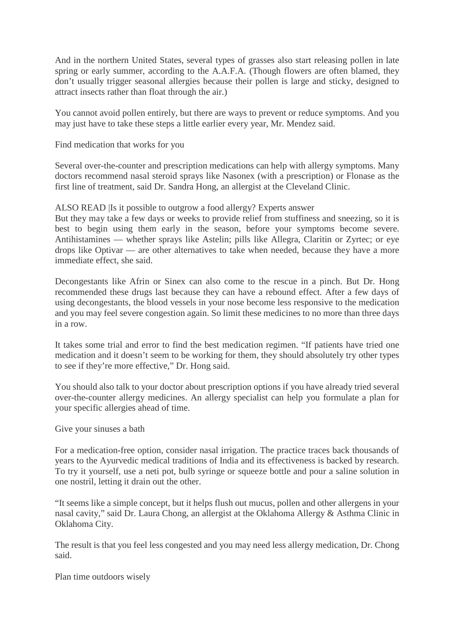And in the northern United States, several types of grasses also start releasing pollen in late spring or early summer, according to the A.A.F.A. (Though flowers are often blamed, they don't usually trigger seasonal allergies because their pollen is large and sticky, designed to attract insects rather than float through the air.)

You cannot avoid pollen entirely, but there are ways to prevent or reduce symptoms. And you may just have to take these steps a little earlier every year, Mr. Mendez said.

Find medication that works for you

Several over-the-counter and prescription medications can help with allergy symptoms. Many doctors recommend nasal steroid sprays like Nasonex (with a prescription) or Flonase as the first line of treatment, said Dr. Sandra Hong, an allergist at the Cleveland Clinic.

ALSO READ |Is it possible to outgrow a food allergy? Experts answer

But they may take a few days or weeks to provide relief from stuffiness and sneezing, so it is best to begin using them early in the season, before your symptoms become severe. Antihistamines — whether sprays like Astelin; pills like Allegra, Claritin or Zyrtec; or eye drops like Optivar — are other alternatives to take when needed, because they have a more immediate effect, she said.

Decongestants like Afrin or Sinex can also come to the rescue in a pinch. But Dr. Hong recommended these drugs last because they can have a rebound effect. After a few days of using decongestants, the blood vessels in your nose become less responsive to the medication and you may feel severe congestion again. So limit these medicines to no more than three days in a row.

It takes some trial and error to find the best medication regimen. "If patients have tried one medication and it doesn't seem to be working for them, they should absolutely try other types to see if they're more effective," Dr. Hong said.

You should also talk to your doctor about prescription options if you have already tried several over-the-counter allergy medicines. An allergy specialist can help you formulate a plan for your specific allergies ahead of time.

Give your sinuses a bath

For a medication-free option, consider nasal irrigation. The practice traces back thousands of years to the Ayurvedic medical traditions of India and its effectiveness is backed by research. To try it yourself, use a neti pot, bulb syringe or squeeze bottle and pour a saline solution in one nostril, letting it drain out the other.

"It seems like a simple concept, but it helps flush out mucus, pollen and other allergens in your nasal cavity," said Dr. Laura Chong, an allergist at the Oklahoma Allergy & Asthma Clinic in Oklahoma City.

The result is that you feel less congested and you may need less allergy medication, Dr. Chong said.

Plan time outdoors wisely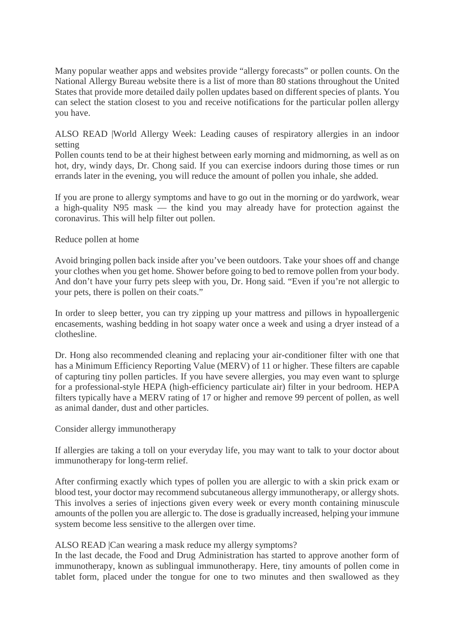Many popular weather apps and websites provide "allergy forecasts" or pollen counts. On the National Allergy Bureau website there is a list of more than 80 stations throughout the United States that provide more detailed daily pollen updates based on different species of plants. You can select the station closest to you and receive notifications for the particular pollen allergy you have.

ALSO READ |World Allergy Week: Leading causes of respiratory allergies in an indoor setting

Pollen counts tend to be at their highest between early morning and midmorning, as well as on hot, dry, windy days, Dr. Chong said. If you can exercise indoors during those times or run errands later in the evening, you will reduce the amount of pollen you inhale, she added.

If you are prone to allergy symptoms and have to go out in the morning or do yardwork, wear a high-quality N95 mask — the kind you may already have for protection against the coronavirus. This will help filter out pollen.

#### Reduce pollen at home

Avoid bringing pollen back inside after you've been outdoors. Take your shoes off and change your clothes when you get home. Shower before going to bed to remove pollen from your body. And don't have your furry pets sleep with you, Dr. Hong said. "Even if you're not allergic to your pets, there is pollen on their coats."

In order to sleep better, you can try zipping up your mattress and pillows in hypoallergenic encasements, washing bedding in hot soapy water once a week and using a dryer instead of a clothesline.

Dr. Hong also recommended cleaning and replacing your air-conditioner filter with one that has a Minimum Efficiency Reporting Value (MERV) of 11 or higher. These filters are capable of capturing tiny pollen particles. If you have severe allergies, you may even want to splurge for a professional-style HEPA (high-efficiency particulate air) filter in your bedroom. HEPA filters typically have a MERV rating of 17 or higher and remove 99 percent of pollen, as well as animal dander, dust and other particles.

#### Consider allergy immunotherapy

If allergies are taking a toll on your everyday life, you may want to talk to your doctor about immunotherapy for long-term relief.

After confirming exactly which types of pollen you are allergic to with a skin prick exam or blood test, your doctor may recommend subcutaneous allergy immunotherapy, or allergy shots. This involves a series of injections given every week or every month containing minuscule amounts of the pollen you are allergic to. The dose is gradually increased, helping your immune system become less sensitive to the allergen over time.

#### ALSO READ |Can wearing a mask reduce my allergy symptoms?

In the last decade, the Food and Drug Administration has started to approve another form of immunotherapy, known as sublingual immunotherapy. Here, tiny amounts of pollen come in tablet form, placed under the tongue for one to two minutes and then swallowed as they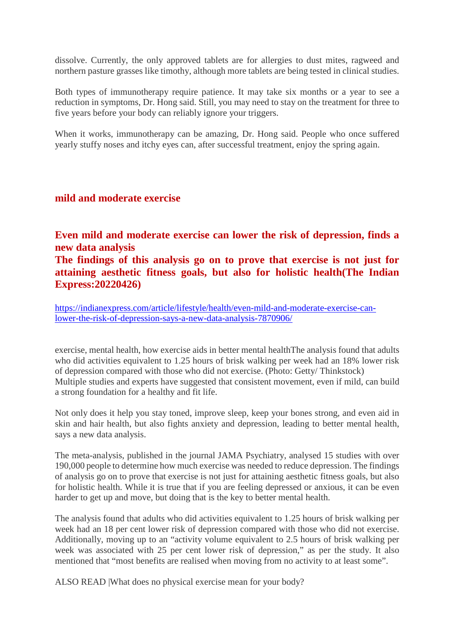dissolve. Currently, the only approved tablets are for allergies to dust mites, ragweed and northern pasture grasses like timothy, although more tablets are being tested in clinical studies.

Both types of immunotherapy require patience. It may take six months or a year to see a reduction in symptoms, Dr. Hong said. Still, you may need to stay on the treatment for three to five years before your body can reliably ignore your triggers.

When it works, immunotherapy can be amazing, Dr. Hong said. People who once suffered yearly stuffy noses and itchy eyes can, after successful treatment, enjoy the spring again.

#### **mild and moderate exercise**

**Even mild and moderate exercise can lower the risk of depression, finds a new data analysis**

**The findings of this analysis go on to prove that exercise is not just for attaining aesthetic fitness goals, but also for holistic health(The Indian Express:20220426)**

https://indianexpress.com/article/lifestyle/health/even-mild-and-moderate-exercise-canlower-the-risk-of-depression-says-a-new-data-analysis-7870906/

exercise, mental health, how exercise aids in better mental healthThe analysis found that adults who did activities equivalent to 1.25 hours of brisk walking per week had an 18% lower risk of depression compared with those who did not exercise. (Photo: Getty/ Thinkstock) Multiple studies and experts have suggested that consistent movement, even if mild, can build a strong foundation for a healthy and fit life.

Not only does it help you stay toned, improve sleep, keep your bones strong, and even aid in skin and hair health, but also fights anxiety and depression, leading to better mental health, says a new data analysis.

The meta-analysis, published in the journal JAMA Psychiatry, analysed 15 studies with over 190,000 people to determine how much exercise was needed to reduce depression. The findings of analysis go on to prove that exercise is not just for attaining aesthetic fitness goals, but also for holistic health. While it is true that if you are feeling depressed or anxious, it can be even harder to get up and move, but doing that is the key to better mental health.

The analysis found that adults who did activities equivalent to 1.25 hours of brisk walking per week had an 18 per cent lower risk of depression compared with those who did not exercise. Additionally, moving up to an "activity volume equivalent to 2.5 hours of brisk walking per week was associated with 25 per cent lower risk of depression," as per the study. It also mentioned that "most benefits are realised when moving from no activity to at least some".

ALSO READ |What does no physical exercise mean for your body?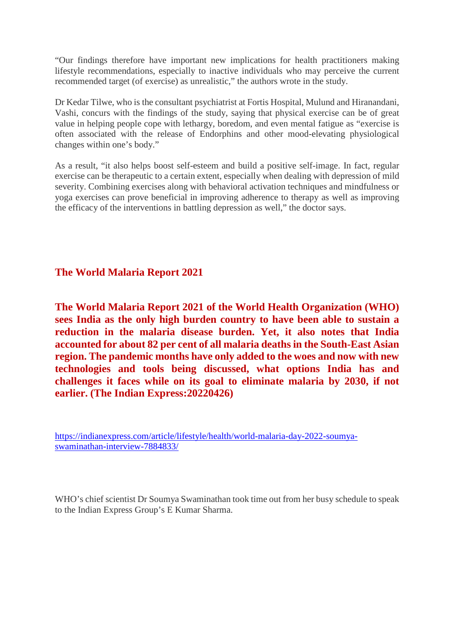"Our findings therefore have important new implications for health practitioners making lifestyle recommendations, especially to inactive individuals who may perceive the current recommended target (of exercise) as unrealistic," the authors wrote in the study.

Dr Kedar Tilwe, who is the consultant psychiatrist at Fortis Hospital, Mulund and Hiranandani, Vashi, concurs with the findings of the study, saying that physical exercise can be of great value in helping people cope with lethargy, boredom, and even mental fatigue as "exercise is often associated with the release of Endorphins and other mood-elevating physiological changes within one's body."

As a result, "it also helps boost self-esteem and build a positive self-image. In fact, regular exercise can be therapeutic to a certain extent, especially when dealing with depression of mild severity. Combining exercises along with behavioral activation techniques and mindfulness or yoga exercises can prove beneficial in improving adherence to therapy as well as improving the efficacy of the interventions in battling depression as well," the doctor says.

#### **The World Malaria Report 2021**

**The World Malaria Report 2021 of the World Health Organization (WHO) sees India as the only high burden country to have been able to sustain a reduction in the malaria disease burden. Yet, it also notes that India accounted for about 82 per cent of all malaria deaths in the South-East Asian region. The pandemic months have only added to the woes and now with new technologies and tools being discussed, what options India has and challenges it faces while on its goal to eliminate malaria by 2030, if not earlier. (The Indian Express:20220426)**

https://indianexpress.com/article/lifestyle/health/world-malaria-day-2022-soumyaswaminathan-interview-7884833/

WHO's chief scientist Dr Soumya Swaminathan took time out from her busy schedule to speak to the Indian Express Group's E Kumar Sharma.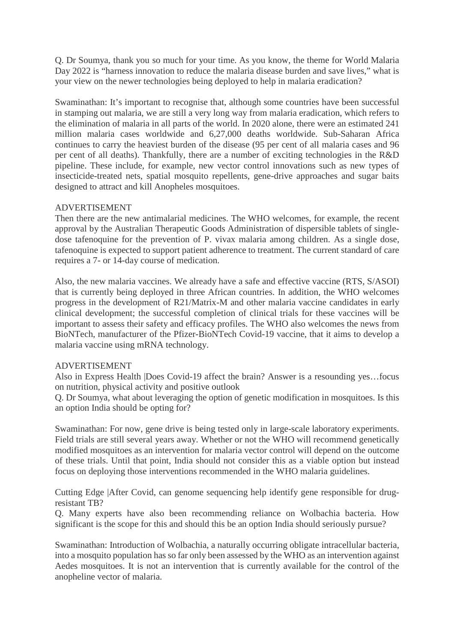Q. Dr Soumya, thank you so much for your time. As you know, the theme for World Malaria Day 2022 is "harness innovation to reduce the malaria disease burden and save lives," what is your view on the newer technologies being deployed to help in malaria eradication?

Swaminathan: It's important to recognise that, although some countries have been successful in stamping out malaria, we are still a very long way from malaria eradication, which refers to the elimination of malaria in all parts of the world. In 2020 alone, there were an estimated 241 million malaria cases worldwide and 6,27,000 deaths worldwide. Sub-Saharan Africa continues to carry the heaviest burden of the disease (95 per cent of all malaria cases and 96 per cent of all deaths). Thankfully, there are a number of exciting technologies in the R&D pipeline. These include, for example, new vector control innovations such as new types of insecticide-treated nets, spatial mosquito repellents, gene-drive approaches and sugar baits designed to attract and kill Anopheles mosquitoes.

#### ADVERTISEMENT

Then there are the new antimalarial medicines. The WHO welcomes, for example, the recent approval by the Australian Therapeutic Goods Administration of dispersible tablets of singledose tafenoquine for the prevention of P. vivax malaria among children. As a single dose, tafenoquine is expected to support patient adherence to treatment. The current standard of care requires a 7- or 14-day course of medication.

Also, the new malaria vaccines. We already have a safe and effective vaccine (RTS, S/ASOI) that is currently being deployed in three African countries. In addition, the WHO welcomes progress in the development of R21/Matrix-M and other malaria vaccine candidates in early clinical development; the successful completion of clinical trials for these vaccines will be important to assess their safety and efficacy profiles. The WHO also welcomes the news from BioNTech, manufacturer of the Pfizer-BioNTech Covid-19 vaccine, that it aims to develop a malaria vaccine using mRNA technology.

#### ADVERTISEMENT

Also in Express Health |Does Covid-19 affect the brain? Answer is a resounding yes…focus on nutrition, physical activity and positive outlook

Q. Dr Soumya, what about leveraging the option of genetic modification in mosquitoes. Is this an option India should be opting for?

Swaminathan: For now, gene drive is being tested only in large-scale laboratory experiments. Field trials are still several years away. Whether or not the WHO will recommend genetically modified mosquitoes as an intervention for malaria vector control will depend on the outcome of these trials. Until that point, India should not consider this as a viable option but instead focus on deploying those interventions recommended in the WHO malaria guidelines.

Cutting Edge |After Covid, can genome sequencing help identify gene responsible for drugresistant TB?

Q. Many experts have also been recommending reliance on Wolbachia bacteria. How significant is the scope for this and should this be an option India should seriously pursue?

Swaminathan: Introduction of Wolbachia, a naturally occurring obligate intracellular bacteria, into a mosquito population has so far only been assessed by the WHO as an intervention against Aedes mosquitoes. It is not an intervention that is currently available for the control of the anopheline vector of malaria.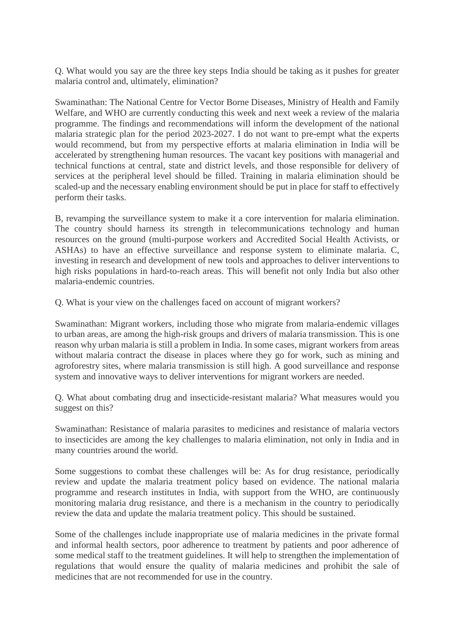Q. What would you say are the three key steps India should be taking as it pushes for greater malaria control and, ultimately, elimination?

Swaminathan: The National Centre for Vector Borne Diseases, Ministry of Health and Family Welfare, and WHO are currently conducting this week and next week a review of the malaria programme. The findings and recommendations will inform the development of the national malaria strategic plan for the period 2023-2027. I do not want to pre-empt what the experts would recommend, but from my perspective efforts at malaria elimination in India will be accelerated by strengthening human resources. The vacant key positions with managerial and technical functions at central, state and district levels, and those responsible for delivery of services at the peripheral level should be filled. Training in malaria elimination should be scaled-up and the necessary enabling environment should be put in place for staff to effectively perform their tasks.

B, revamping the surveillance system to make it a core intervention for malaria elimination. The country should harness its strength in telecommunications technology and human resources on the ground (multi-purpose workers and Accredited Social Health Activists, or ASHAs) to have an effective surveillance and response system to eliminate malaria. C, investing in research and development of new tools and approaches to deliver interventions to high risks populations in hard-to-reach areas. This will benefit not only India but also other malaria-endemic countries.

Q. What is your view on the challenges faced on account of migrant workers?

Swaminathan: Migrant workers, including those who migrate from malaria-endemic villages to urban areas, are among the high-risk groups and drivers of malaria transmission. This is one reason why urban malaria is still a problem in India. In some cases, migrant workers from areas without malaria contract the disease in places where they go for work, such as mining and agroforestry sites, where malaria transmission is still high. A good surveillance and response system and innovative ways to deliver interventions for migrant workers are needed.

Q. What about combating drug and insecticide-resistant malaria? What measures would you suggest on this?

Swaminathan: Resistance of malaria parasites to medicines and resistance of malaria vectors to insecticides are among the key challenges to malaria elimination, not only in India and in many countries around the world.

Some suggestions to combat these challenges will be: As for drug resistance, periodically review and update the malaria treatment policy based on evidence. The national malaria programme and research institutes in India, with support from the WHO, are continuously monitoring malaria drug resistance, and there is a mechanism in the country to periodically review the data and update the malaria treatment policy. This should be sustained.

Some of the challenges include inappropriate use of malaria medicines in the private formal and informal health sectors, poor adherence to treatment by patients and poor adherence of some medical staff to the treatment guidelines. It will help to strengthen the implementation of regulations that would ensure the quality of malaria medicines and prohibit the sale of medicines that are not recommended for use in the country.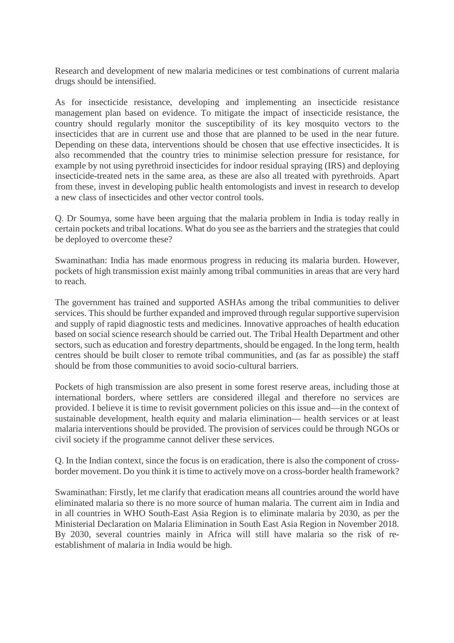Research and development of new malaria medicines or test combinations of current malaria drugs should be intensified.

As for insecticide resistance, developing and implementing an insecticide resistance management plan based on evidence. To mitigate the impact of insecticide resistance, the country should regularly monitor the susceptibility of its key mosquito vectors to the insecticides that are in current use and those that are planned to be used in the near future. Depending on these data, interventions should be chosen that use effective insecticides. It is also recommended that the country tries to minimise selection pressure for resistance, for example by not using pyrethroid insecticides for indoor residual spraying (IRS) and deploying insecticide-treated nets in the same area, as these are also all treated with pyrethroids. Apart from these, invest in developing public health entomologists and invest in research to develop a new class of insecticides and other vector control tools.

Q. Dr Soumya, some have been arguing that the malaria problem in India is today really in certain pockets and tribal locations. What do you see as the barriers and the strategies that could be deployed to overcome these?

Swaminathan: India has made enormous progress in reducing its malaria burden. However, pockets of high transmission exist mainly among tribal communities in areas that are very hard to reach.

The government has trained and supported ASHAs among the tribal communities to deliver services. This should be further expanded and improved through regular supportive supervision and supply of rapid diagnostic tests and medicines. Innovative approaches of health education based on social science research should be carried out. The Tribal Health Department and other sectors, such as education and forestry departments, should be engaged. In the long term, health centres should be built closer to remote tribal communities, and (as far as possible) the staff should be from those communities to avoid socio-cultural barriers.

Pockets of high transmission are also present in some forest reserve areas, including those at international borders, where settlers are considered illegal and therefore no services are provided. I believe it is time to revisit government policies on this issue and—in the context of sustainable development, health equity and malaria elimination— health services or at least malaria interventions should be provided. The provision of services could be through NGOs or civil society if the programme cannot deliver these services.

Q. In the Indian context, since the focus is on eradication, there is also the component of crossborder movement. Do you think it is time to actively move on a cross-border health framework?

Swaminathan: Firstly, let me clarify that eradication means all countries around the world have eliminated malaria so there is no more source of human malaria. The current aim in India and in all countries in WHO South-East Asia Region is to eliminate malaria by 2030, as per the Ministerial Declaration on Malaria Elimination in South East Asia Region in November 2018. By 2030, several countries mainly in Africa will still have malaria so the risk of reestablishment of malaria in India would be high.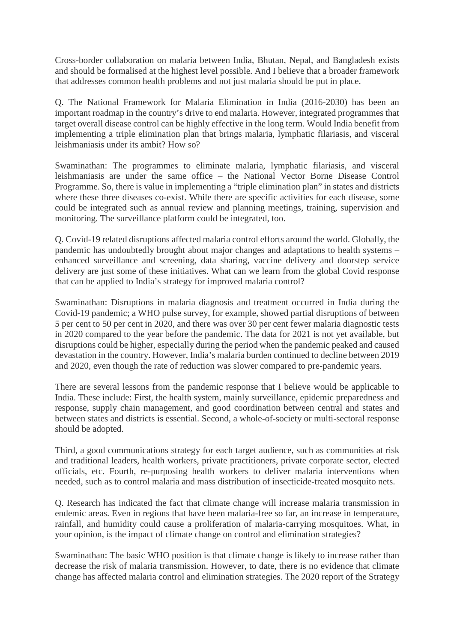Cross-border collaboration on malaria between India, Bhutan, Nepal, and Bangladesh exists and should be formalised at the highest level possible. And I believe that a broader framework that addresses common health problems and not just malaria should be put in place.

Q. The National Framework for Malaria Elimination in India (2016-2030) has been an important roadmap in the country's drive to end malaria. However, integrated programmes that target overall disease control can be highly effective in the long term. Would India benefit from implementing a triple elimination plan that brings malaria, lymphatic filariasis, and visceral leishmaniasis under its ambit? How so?

Swaminathan: The programmes to eliminate malaria, lymphatic filariasis, and visceral leishmaniasis are under the same office – the National Vector Borne Disease Control Programme. So, there is value in implementing a "triple elimination plan" in states and districts where these three diseases co-exist. While there are specific activities for each disease, some could be integrated such as annual review and planning meetings, training, supervision and monitoring. The surveillance platform could be integrated, too.

Q. Covid-19 related disruptions affected malaria control efforts around the world. Globally, the pandemic has undoubtedly brought about major changes and adaptations to health systems – enhanced surveillance and screening, data sharing, vaccine delivery and doorstep service delivery are just some of these initiatives. What can we learn from the global Covid response that can be applied to India's strategy for improved malaria control?

Swaminathan: Disruptions in malaria diagnosis and treatment occurred in India during the Covid-19 pandemic; a WHO pulse survey, for example, showed partial disruptions of between 5 per cent to 50 per cent in 2020, and there was over 30 per cent fewer malaria diagnostic tests in 2020 compared to the year before the pandemic. The data for 2021 is not yet available, but disruptions could be higher, especially during the period when the pandemic peaked and caused devastation in the country. However, India's malaria burden continued to decline between 2019 and 2020, even though the rate of reduction was slower compared to pre-pandemic years.

There are several lessons from the pandemic response that I believe would be applicable to India. These include: First, the health system, mainly surveillance, epidemic preparedness and response, supply chain management, and good coordination between central and states and between states and districts is essential. Second, a whole-of-society or multi-sectoral response should be adopted.

Third, a good communications strategy for each target audience, such as communities at risk and traditional leaders, health workers, private practitioners, private corporate sector, elected officials, etc. Fourth, re-purposing health workers to deliver malaria interventions when needed, such as to control malaria and mass distribution of insecticide-treated mosquito nets.

Q. Research has indicated the fact that climate change will increase malaria transmission in endemic areas. Even in regions that have been malaria-free so far, an increase in temperature, rainfall, and humidity could cause a proliferation of malaria-carrying mosquitoes. What, in your opinion, is the impact of climate change on control and elimination strategies?

Swaminathan: The basic WHO position is that climate change is likely to increase rather than decrease the risk of malaria transmission. However, to date, there is no evidence that climate change has affected malaria control and elimination strategies. The 2020 report of the Strategy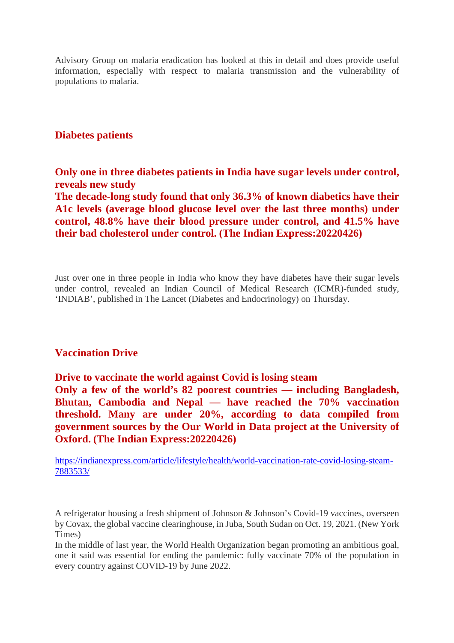Advisory Group on malaria eradication has looked at this in detail and does provide useful information, especially with respect to malaria transmission and the vulnerability of populations to malaria.

#### **Diabetes patients**

**Only one in three diabetes patients in India have sugar levels under control, reveals new study**

**The decade-long study found that only 36.3% of known diabetics have their A1c levels (average blood glucose level over the last three months) under control, 48.8% have their blood pressure under control, and 41.5% have their bad cholesterol under control. (The Indian Express:20220426)**

Just over one in three people in India who know they have diabetes have their sugar levels under control, revealed an Indian Council of Medical Research (ICMR)-funded study, 'INDIAB', published in The Lancet (Diabetes and Endocrinology) on Thursday.

#### **Vaccination Drive**

**Drive to vaccinate the world against Covid is losing steam**

**Only a few of the world's 82 poorest countries — including Bangladesh, Bhutan, Cambodia and Nepal — have reached the 70% vaccination threshold. Many are under 20%, according to data compiled from government sources by the Our World in Data project at the University of Oxford. (The Indian Express:20220426)**

https://indianexpress.com/article/lifestyle/health/world-vaccination-rate-covid-losing-steam-7883533/

A refrigerator housing a fresh shipment of Johnson & Johnson's Covid-19 vaccines, overseen by Covax, the global vaccine clearinghouse, in Juba, South Sudan on Oct. 19, 2021. (New York Times)

In the middle of last year, the World Health Organization began promoting an ambitious goal, one it said was essential for ending the pandemic: fully vaccinate 70% of the population in every country against COVID-19 by June 2022.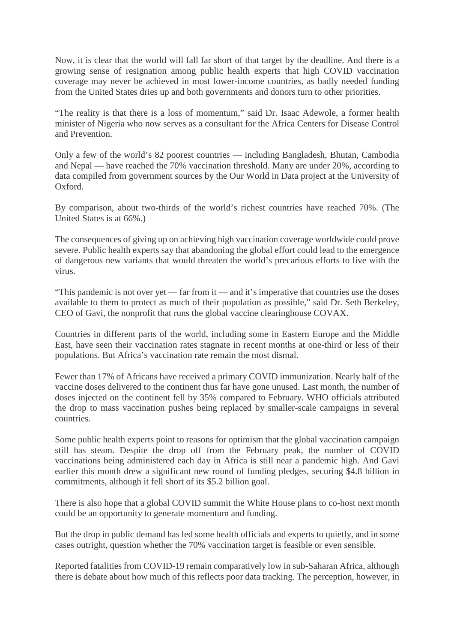Now, it is clear that the world will fall far short of that target by the deadline. And there is a growing sense of resignation among public health experts that high COVID vaccination coverage may never be achieved in most lower-income countries, as badly needed funding from the United States dries up and both governments and donors turn to other priorities.

"The reality is that there is a loss of momentum," said Dr. Isaac Adewole, a former health minister of Nigeria who now serves as a consultant for the Africa Centers for Disease Control and Prevention.

Only a few of the world's 82 poorest countries — including Bangladesh, Bhutan, Cambodia and Nepal — have reached the 70% vaccination threshold. Many are under 20%, according to data compiled from government sources by the Our World in Data project at the University of Oxford.

By comparison, about two-thirds of the world's richest countries have reached 70%. (The United States is at 66%.)

The consequences of giving up on achieving high vaccination coverage worldwide could prove severe. Public health experts say that abandoning the global effort could lead to the emergence of dangerous new variants that would threaten the world's precarious efforts to live with the virus.

"This pandemic is not over yet — far from it — and it's imperative that countries use the doses available to them to protect as much of their population as possible," said Dr. Seth Berkeley, CEO of Gavi, the nonprofit that runs the global vaccine clearinghouse COVAX.

Countries in different parts of the world, including some in Eastern Europe and the Middle East, have seen their vaccination rates stagnate in recent months at one-third or less of their populations. But Africa's vaccination rate remain the most dismal.

Fewer than 17% of Africans have received a primary COVID immunization. Nearly half of the vaccine doses delivered to the continent thus far have gone unused. Last month, the number of doses injected on the continent fell by 35% compared to February. WHO officials attributed the drop to mass vaccination pushes being replaced by smaller-scale campaigns in several countries.

Some public health experts point to reasons for optimism that the global vaccination campaign still has steam. Despite the drop off from the February peak, the number of COVID vaccinations being administered each day in Africa is still near a pandemic high. And Gavi earlier this month drew a significant new round of funding pledges, securing \$4.8 billion in commitments, although it fell short of its \$5.2 billion goal.

There is also hope that a global COVID summit the White House plans to co-host next month could be an opportunity to generate momentum and funding.

But the drop in public demand has led some health officials and experts to quietly, and in some cases outright, question whether the 70% vaccination target is feasible or even sensible.

Reported fatalities from COVID-19 remain comparatively low in sub-Saharan Africa, although there is debate about how much of this reflects poor data tracking. The perception, however, in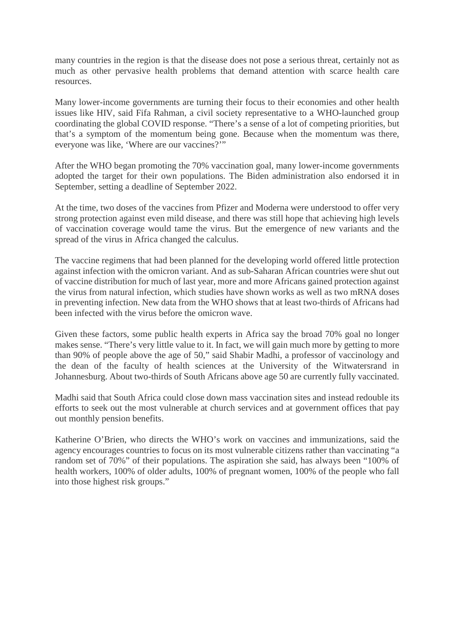many countries in the region is that the disease does not pose a serious threat, certainly not as much as other pervasive health problems that demand attention with scarce health care resources.

Many lower-income governments are turning their focus to their economies and other health issues like HIV, said Fifa Rahman, a civil society representative to a WHO-launched group coordinating the global COVID response. "There's a sense of a lot of competing priorities, but that's a symptom of the momentum being gone. Because when the momentum was there, everyone was like, 'Where are our vaccines?'"

After the WHO began promoting the 70% vaccination goal, many lower-income governments adopted the target for their own populations. The Biden administration also endorsed it in September, setting a deadline of September 2022.

At the time, two doses of the vaccines from Pfizer and Moderna were understood to offer very strong protection against even mild disease, and there was still hope that achieving high levels of vaccination coverage would tame the virus. But the emergence of new variants and the spread of the virus in Africa changed the calculus.

The vaccine regimens that had been planned for the developing world offered little protection against infection with the omicron variant. And as sub-Saharan African countries were shut out of vaccine distribution for much of last year, more and more Africans gained protection against the virus from natural infection, which studies have shown works as well as two mRNA doses in preventing infection. New data from the WHO shows that at least two-thirds of Africans had been infected with the virus before the omicron wave.

Given these factors, some public health experts in Africa say the broad 70% goal no longer makes sense. "There's very little value to it. In fact, we will gain much more by getting to more than 90% of people above the age of 50," said Shabir Madhi, a professor of vaccinology and the dean of the faculty of health sciences at the University of the Witwatersrand in Johannesburg. About two-thirds of South Africans above age 50 are currently fully vaccinated.

Madhi said that South Africa could close down mass vaccination sites and instead redouble its efforts to seek out the most vulnerable at church services and at government offices that pay out monthly pension benefits.

Katherine O'Brien, who directs the WHO's work on vaccines and immunizations, said the agency encourages countries to focus on its most vulnerable citizens rather than vaccinating "a random set of 70%" of their populations. The aspiration she said, has always been "100% of health workers, 100% of older adults, 100% of pregnant women, 100% of the people who fall into those highest risk groups."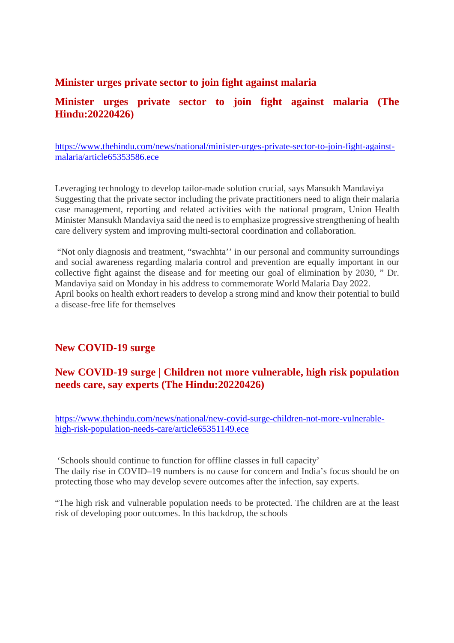#### **Minister urges private sector to join fight against malaria**

#### **Minister urges private sector to join fight against malaria (The Hindu:20220426)**

https://www.thehindu.com/news/national/minister-urges-private-sector-to-join-fight-againstmalaria/article65353586.ece

Leveraging technology to develop tailor-made solution crucial, says Mansukh Mandaviya Suggesting that the private sector including the private practitioners need to align their malaria case management, reporting and related activities with the national program, Union Health Minister Mansukh Mandaviya said the need is to emphasize progressive strengthening of health care delivery system and improving multi-sectoral coordination and collaboration.

"Not only diagnosis and treatment, "swachhta'' in our personal and community surroundings and social awareness regarding malaria control and prevention are equally important in our collective fight against the disease and for meeting our goal of elimination by 2030, " Dr. Mandaviya said on Monday in his address to commemorate World Malaria Day 2022. April books on health exhort readers to develop a strong mind and know their potential to build a disease-free life for themselves

#### **New COVID-19 surge**

#### **New COVID-19 surge | Children not more vulnerable, high risk population needs care, say experts (The Hindu:20220426)**

https://www.thehindu.com/news/national/new-covid-surge-children-not-more-vulnerablehigh-risk-population-needs-care/article65351149.ece

'Schools should continue to function for offline classes in full capacity' The daily rise in COVID–19 numbers is no cause for concern and India's focus should be on protecting those who may develop severe outcomes after the infection, say experts.

"The high risk and vulnerable population needs to be protected. The children are at the least risk of developing poor outcomes. In this backdrop, the schools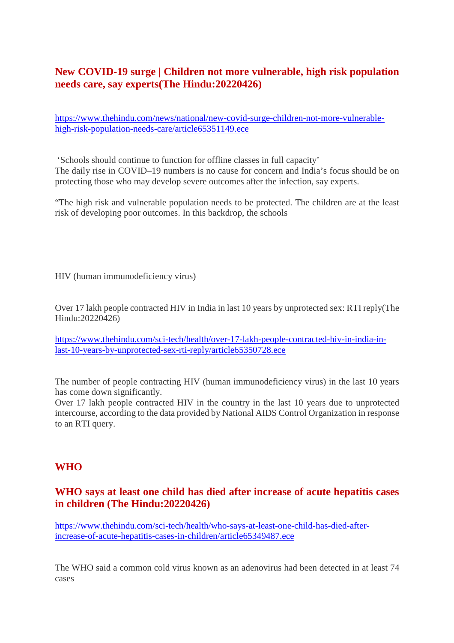#### **New COVID-19 surge | Children not more vulnerable, high risk population needs care, say experts(The Hindu:20220426)**

https://www.thehindu.com/news/national/new-covid-surge-children-not-more-vulnerablehigh-risk-population-needs-care/article65351149.ece

'Schools should continue to function for offline classes in full capacity' The daily rise in COVID–19 numbers is no cause for concern and India's focus should be on protecting those who may develop severe outcomes after the infection, say experts.

"The high risk and vulnerable population needs to be protected. The children are at the least risk of developing poor outcomes. In this backdrop, the schools

HIV (human immunodeficiency virus)

Over 17 lakh people contracted HIV in India in last 10 years by unprotected sex: RTI reply(The Hindu:20220426)

https://www.thehindu.com/sci-tech/health/over-17-lakh-people-contracted-hiv-in-india-inlast-10-years-by-unprotected-sex-rti-reply/article65350728.ece

The number of people contracting HIV (human immunodeficiency virus) in the last 10 years has come down significantly.

Over 17 lakh people contracted HIV in the country in the last 10 years due to unprotected intercourse, according to the data provided by National AIDS Control Organization in response to an RTI query.

#### **WHO**

#### **WHO says at least one child has died after increase of acute hepatitis cases in children (The Hindu:20220426)**

https://www.thehindu.com/sci-tech/health/who-says-at-least-one-child-has-died-afterincrease-of-acute-hepatitis-cases-in-children/article65349487.ece

The WHO said a common cold virus known as an adenovirus had been detected in at least 74 cases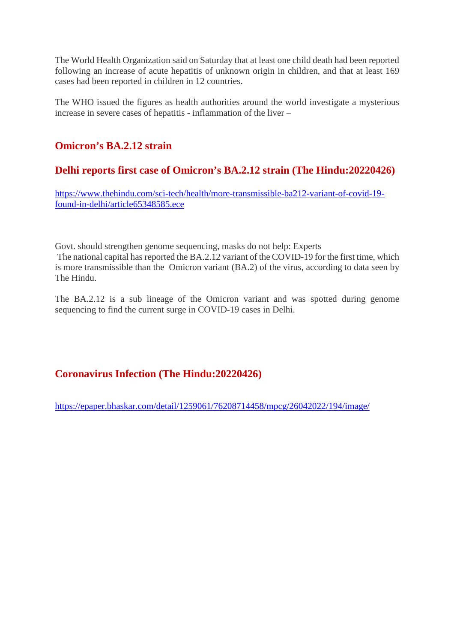The World Health Organization said on Saturday that at least one child death had been reported following an increase of acute hepatitis of unknown origin in children, and that at least 169 cases had been reported in children in 12 countries.

The WHO issued the figures as health authorities around the world investigate a mysterious increase in severe cases of hepatitis - inflammation of the liver –

#### **Omicron's BA.2.12 strain**

#### **Delhi reports first case of Omicron's BA.2.12 strain (The Hindu:20220426)**

https://www.thehindu.com/sci-tech/health/more-transmissible-ba212-variant-of-covid-19 found-in-delhi/article65348585.ece

Govt. should strengthen genome sequencing, masks do not help: Experts The national capital has reported the BA.2.12 variant of the COVID-19 for the first time, which is more transmissible than the Omicron variant (BA.2) of the virus, according to data seen by The Hindu.

The BA.2.12 is a sub lineage of the Omicron variant and was spotted during genome sequencing to find the current surge in COVID-19 cases in Delhi.

#### **Coronavirus Infection (The Hindu:20220426)**

https://epaper.bhaskar.com/detail/1259061/76208714458/mpcg/26042022/194/image/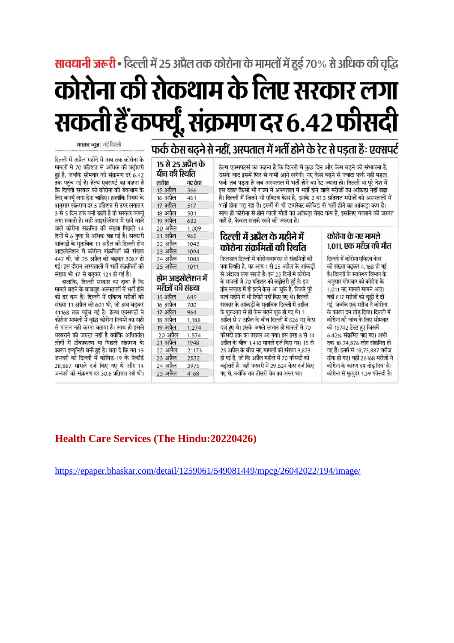### सावधानी जरूरी • दिल्ली में 25 अप्रैल तक कोरोना के मामलों में हुई 70% से अधिक की वृद्धि

# कोरोना की रोकथाम के लिए सरकार लगा सकती हैं कफ्यूँ, संक्रमण दर 6.42 फीसदी

### फर्क केस बढ़ने से नहीं, अस्पताल में भर्ती होने के रेट से पड़ता हैः एक्सपर्ट

हेल्थ एक्सपटर्स का कहना है कि दिल्ली में कुछ दिन और केस बढने की संभावना है, उसके बाद इसमें फिर से कमी आने लगेगी। नए केस बढ़ने से ज्यादा फर्क नहीं पड़ता, फर्क तब पडता है जब अस्पताल में भर्ती होने का रेट ज्यादा हो। दिल्ली या परे देश में इस वक्त किसी भी राज्य में अस्पताल में भर्ती होने वाले मरीजों का आंकड़ा नहीं बढ़ा है। दिल्ली में जितने भी एक्टिव केस है, उनके 2 या 3 प्रतिशत मरीजों को अस्पतालों में भर्ती होना पड रहा है। इसमें से भी डायरेक्ट कोविड से भर्ती होने का आंकड़ा कम है। साथ ही कोरोना से होने वाली मौतों का आंकडा बेहद कम है, इसलिए घबराने की जरुरत नहीं है, केवल सतर्क रहने की जरुरत है।

#### दिल्ली में अप्रैल के महीने में कोरोना संक्रमितों की स्थिति

फिलहाल दिल्ली में कोरोनावायरस से संक्रमितों की क्या स्थिति है. यह आप 1 से 25 अप्रैल के आंकडों से अंदाजा लगा सकते है। इन 25 दिनों मे कोरोना के मामलों में 70 प्रतिशत की बढोत्तरी हई है। इन तीन सप्ताह में ही इतने केस आ चुके है, जितने परे मार्च महीने में भी रिपोर्ट नहीं किए गए थे। दिल्ली सरकार के आंकडों के मुताबिक दिल्ली में अप्रैल के शुरुआत से ही केस बढ़ने शुरु हो गए थे। 1 अप्रैल से 7 अप्रैल के बीच दिल्ली में 826 नए केस दर्ज हुए थे। इसके अगले सप्ताह ही मामलों में 70 फीसदी तक का उछाल आ गया। इस तरह 8 से 14 अप्रैल के बीच 1,410 मामले दर्ज किए गए। 15 से 25 अप्रैल के बीच नए मामलों की संख्या 9.873 हो गई है, जो कि अप्रैल महीले में 70 फीसदी की बढ़ोत्तरी है। वहीं फरवरी में 29,624 केस दर्ज किए गए थे. क्योंकि तब तीसरी वेव का असर था।

#### कोरोना के नए मामले 1,011, एक मरीज की मौत

दिल्ली में कोरोना एक्टिव केस की संख्या बढ़कर 4.168 हो गई है। दिल्ली के स्वास्थ्य विभाग के अनुसार सोमवार को कोरोना के 1,011 नए मामले सामने आए। .<br>वहीं 817 मरीजों को छुट्टी दे दी गई, जबकि एक मरीज ने कोरोना के कारण दम तोड़ दिया। दिल्ली में कोरोना की जांच के लिए सोमवार को 15742 टेस्ट हुए जिसमें 6.42% संक्रमित पाए गए। अभी तक 18,74,876 लोग संक्रमित हो गए हैं। इनमें से 18,75,887 मरीज ठीक हो गए। वहीं 26168 मरीजों ने कोरोना के कारण दम तोड दिया है। कोरोना से मृत्युदर 1.39 फीसदी है।

| 15 से 25 अप्रैल के<br>बीच की स्थिति  |        |
|--------------------------------------|--------|
| तारीख                                | नए केस |
| 15 अप्रैल                            | 366    |
| 16 अप्रैल                            | 461    |
| 17 अप्रैल                            | 517    |
| 18 अप्रैल                            | 501    |
| 19 अप्रैल                            | 632    |
| 20 अप्रैल                            | 1,009  |
| 21 अप्रैल                            | 965    |
| 22 अप्रैल                            | 1042   |
| 23 अप्रैल                            | 1094   |
|                                      | 1083   |
|                                      |        |
| 24 अप्रैल<br>25 अप्रैल               | 1011   |
| होम आइसोलेशन में<br>मरीजों की संख्या |        |
|                                      | 685    |
|                                      | 700    |
| 15 अप्रैल<br>16 अप्रैल<br>17 अप्रैल  | 964    |
| 18 अप्रैल                            | 1,188  |
|                                      | 1,274  |
| 20 अप्रैल                            | 1,574  |
| १९ अप्रैल<br>21 अप्रैल               | 1948   |
|                                      | 21173  |
| 22 अप्रैल<br>23 अप्रैल               | 2532   |
| 24 अप्रैल<br>25 अप्रैल               | 3975   |

भास्कर न्यूज | नई दिल्ली

दिल्ली में अप्रैल महीने में अब तक कोरोना के मामलों मे 70 प्रतिशत से अधिक की बढोत्तरी हई है, जबकि सोमवार को संक्रमण दर 6.42 तक पहुंच गई है। हेल्थ एक्सपर्ट का कहना है कि दिल्ली सरकार को कोरोना की रोकथाम के लिए कर्फ्यू लगा देना चाहिए। हालांकि नियम के अनुसार संक्रमण दर 5 प्रतिशत से उपर लगातार 3 से 5 दिन तक बनी रहती है तो सरकार कर्फ्य लगा सकती है। वहीं आइसोलेशन में रहने वाले वाले कोरोना संक्रमित की संख्या पिछले 14 दिनों में 6 गुणा से अधिक बढ़ गई है। सरकारी आंकड़ों के मुताबिक 11 अप्रैल को दिल्ली होम आइसोलेशन मे कोरोना संक्रमितों की संख्या 447 थी, जो 25 अप्रैल को बढ़कर 3067 हो गई। इस दौरान अस्पतालों में भर्ती संक्रमितों की संख्या भी 17 से बढ़कर 121 हो गई है।

हालांकि, दिल्ली सरकार का दावा है कि मामले बढने के बावजुद अस्पतालों में भर्ती होने की दर कम है। दिल्ली में एक्टिव मरीजों की संख्या 11 अप्रैल को 601 थी, जो अब बढकर 41168 तक पहुंच गई है। हेल्थ एक्सपर्टों ने कोरोना मामलों मेँ वृद्धि कोरोना नियमों का सही से पालन नहीं करना बताया है। साथ ही इससे घरबराने की जरुरत नहीं है क्योंकि अधिकांश लोगों में टीकाकरण या पिछले संक्रमण के कारण इम्यूनिटी बनी हुई है। बता दे कि गत 13 जनवरी को दिल्ली में कोविड-19 के रिकॉर्ड 28,867 मामले दर्ज किए गए थे और 14 जनवरी को संक्रमण दर 30.6 प्रतिशत रही थी।

#### **Health Care Services (The Hindu:20220426)**

https://epaper.bhaskar.com/detail/1259061/549081449/mpcg/26042022/194/image/